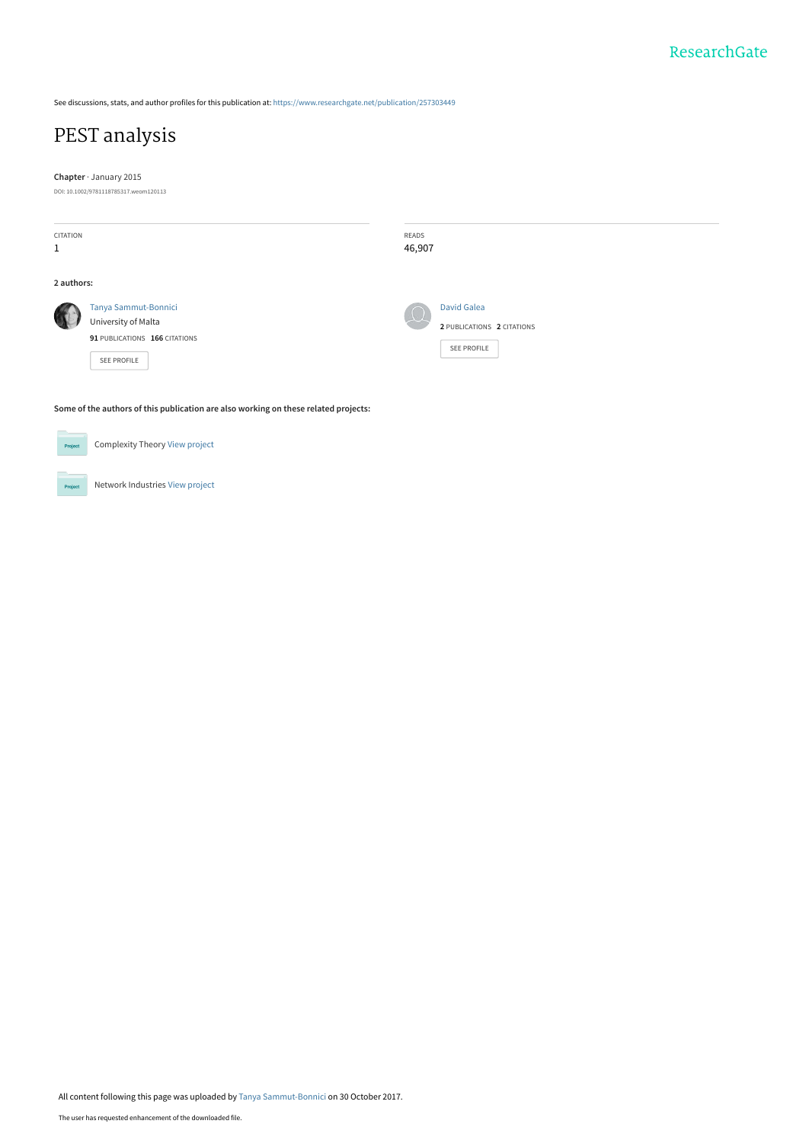See discussions, stats, and author profiles for this publication at: [https://www.researchgate.net/publication/257303449](https://www.researchgate.net/publication/257303449_PEST_analysis?enrichId=rgreq-43807f166d96e68fcbcf0e5d4227d0a5-XXX&enrichSource=Y292ZXJQYWdlOzI1NzMwMzQ0OTtBUzo1NTUxMDg0MjIxNzY3NjhAMTUwOTM1OTU2OTIwNA%3D%3D&el=1_x_2&_esc=publicationCoverPdf)

| PEST analysis                                                                       |                            |
|-------------------------------------------------------------------------------------|----------------------------|
| Chapter · January 2015<br>DOI: 10.1002/9781118785317.weom120113                     |                            |
| <b>CITATION</b>                                                                     | <b>READS</b>               |
| 1                                                                                   | 46,907                     |
| 2 authors:                                                                          |                            |
| Tanya Sammut-Bonnici                                                                | <b>David Galea</b>         |
| University of Malta                                                                 | 2 PUBLICATIONS 2 CITATIONS |
| 91 PUBLICATIONS 166 CITATIONS                                                       | SEE PROFILE                |
| <b>SEE PROFILE</b>                                                                  |                            |
|                                                                                     |                            |
| Some of the authors of this publication are also working on these related projects: |                            |

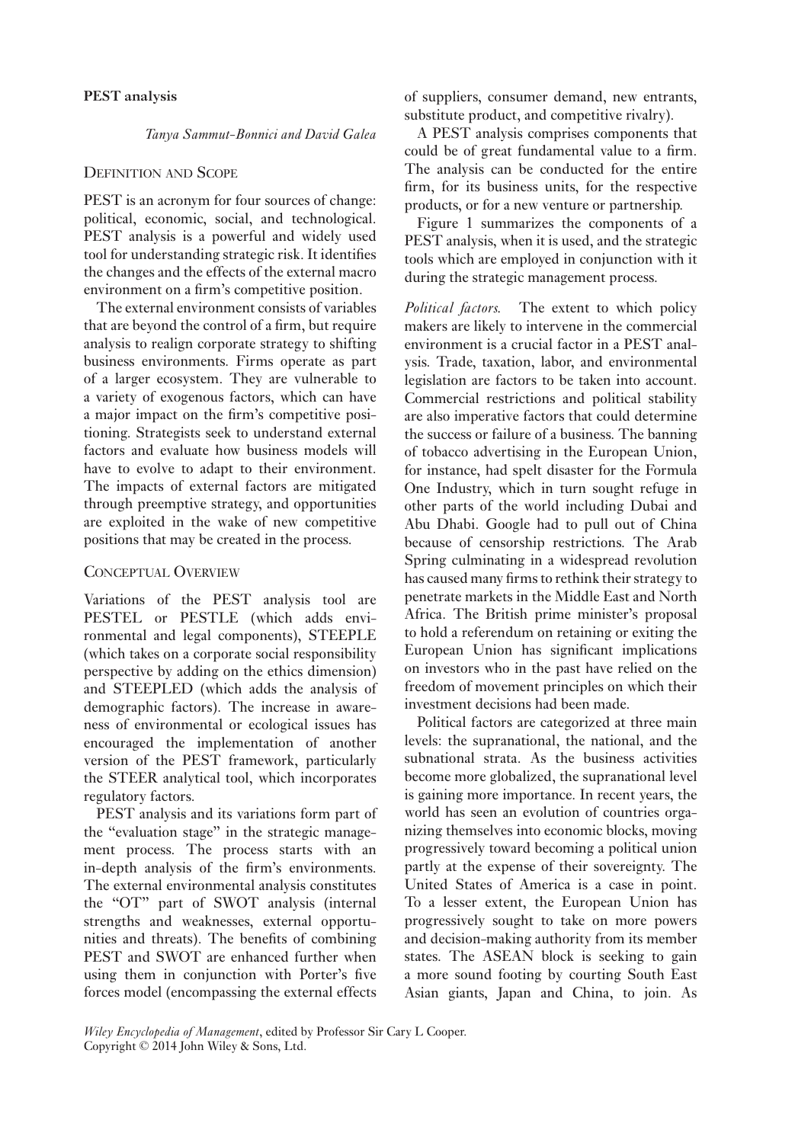### **PEST analysis**

*Tanya Sammut-Bonnici and David Galea*

## DEFINITION AND SCOPE

PEST is an acronym for four sources of change: political, economic, social, and technological. PEST analysis is a powerful and widely used tool for understanding strategic risk. It identifies the changes and the effects of the external macro environment on a firm's competitive position.

The external environment consists of variables that are beyond the control of a firm, but require analysis to realign corporate strategy to shifting business environments. Firms operate as part of a larger ecosystem. They are vulnerable to a variety of exogenous factors, which can have a major impact on the firm's competitive positioning. Strategists seek to understand external factors and evaluate how business models will have to evolve to adapt to their environment. The impacts of external factors are mitigated through preemptive strategy, and opportunities are exploited in the wake of new competitive positions that may be created in the process.

## CONCEPTUAL OVERVIEW

Variations of the PEST analysis tool are PESTEL or PESTLE (which adds environmental and legal components), STEEPLE (which takes on a corporate social responsibility perspective by adding on the ethics dimension) and STEEPLED (which adds the analysis of demographic factors). The increase in awareness of environmental or ecological issues has encouraged the implementation of another version of the PEST framework, particularly the STEER analytical tool, which incorporates regulatory factors.

PEST analysis and its variations form part of the "evaluation stage" in the strategic management process. The process starts with an in-depth analysis of the firm's environments. The external environmental analysis constitutes the "OT" part of SWOT analysis (internal strengths and weaknesses, external opportunities and threats). The benefits of combining PEST and SWOT are enhanced further when using them in conjunction with Porter's five forces model (encompassing the external effects of suppliers, consumer demand, new entrants, substitute product, and competitive rivalry).

A PEST analysis comprises components that could be of great fundamental value to a firm. The analysis can be conducted for the entire firm, for its business units, for the respective products, or for a new venture or partnership.

Figure 1 summarizes the components of a PEST analysis, when it is used, and the strategic tools which are employed in conjunction with it during the strategic management process.

*Political factors.* The extent to which policy makers are likely to intervene in the commercial environment is a crucial factor in a PEST analysis. Trade, taxation, labor, and environmental legislation are factors to be taken into account. Commercial restrictions and political stability are also imperative factors that could determine the success or failure of a business. The banning of tobacco advertising in the European Union, for instance, had spelt disaster for the Formula One Industry, which in turn sought refuge in other parts of the world including Dubai and Abu Dhabi. Google had to pull out of China because of censorship restrictions. The Arab Spring culminating in a widespread revolution has caused many firms to rethink their strategy to penetrate markets in the Middle East and North Africa. The British prime minister's proposal to hold a referendum on retaining or exiting the European Union has significant implications on investors who in the past have relied on the freedom of movement principles on which their investment decisions had been made.

Political factors are categorized at three main levels: the supranational, the national, and the subnational strata. As the business activities become more globalized, the supranational level is gaining more importance. In recent years, the world has seen an evolution of countries organizing themselves into economic blocks, moving progressively toward becoming a political union partly at the expense of their sovereignty. The United States of America is a case in point. To a lesser extent, the European Union has progressively sought to take on more powers and decision-making authority from its member states. The ASEAN block is seeking to gain a more sound footing by courting South East Asian giants, Japan and China, to join. As

*Wiley Encyclopedia of Management*, edited by Professor Sir Cary L Cooper. Copyright © 2014 John Wiley & Sons, Ltd.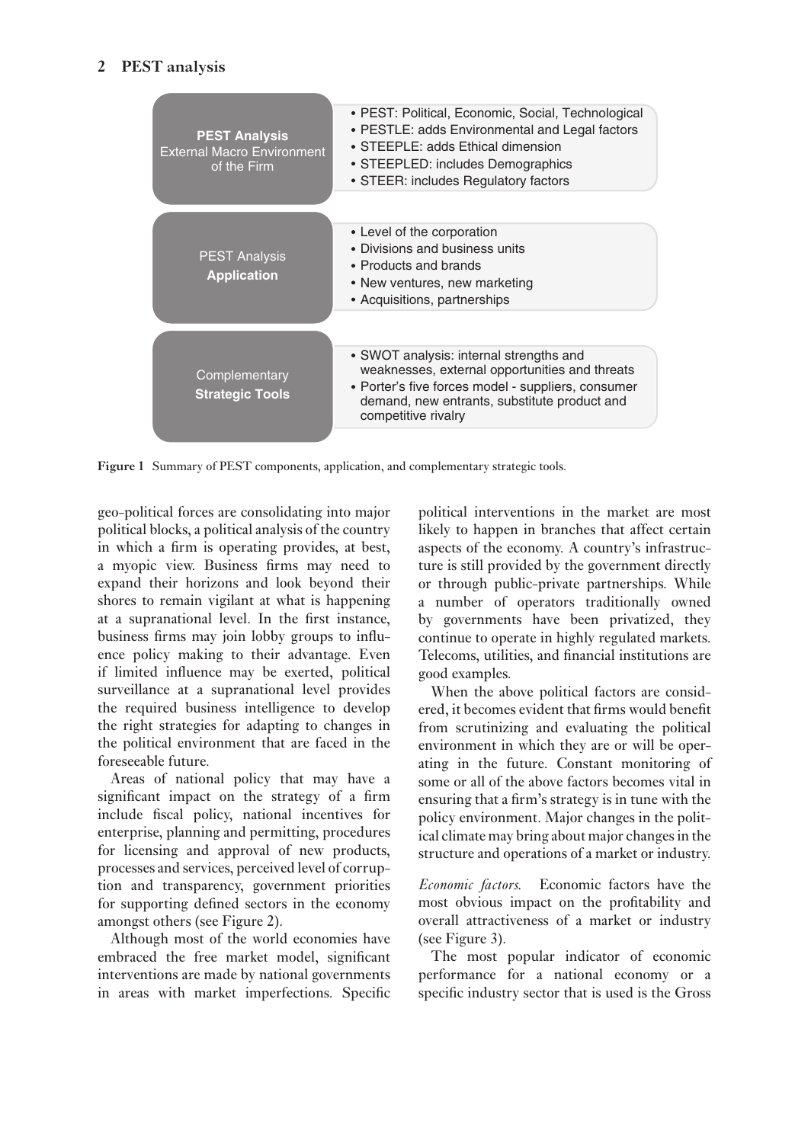# **2 PEST analysis**



**Figure 1** Summary of PEST components, application, and complementary strategic tools.

geo-political forces are consolidating into major political blocks, a political analysis of the country in which a firm is operating provides, at best, a myopic view. Business firms may need to expand their horizons and look beyond their shores to remain vigilant at what is happening at a supranational level. In the first instance, business firms may join lobby groups to influence policy making to their advantage. Even if limited influence may be exerted, political surveillance at a supranational level provides the required business intelligence to develop the right strategies for adapting to changes in the political environment that are faced in the foreseeable future.

Areas of national policy that may have a significant impact on the strategy of a firm include fiscal policy, national incentives for enterprise, planning and permitting, procedures for licensing and approval of new products, processes and services, perceived level of corruption and transparency, government priorities for supporting defined sectors in the economy amongst others (see Figure 2).

Although most of the world economies have embraced the free market model, significant interventions are made by national governments in areas with market imperfections. Specific political interventions in the market are most likely to happen in branches that affect certain aspects of the economy. A country's infrastructure is still provided by the government directly or through public-private partnerships. While a number of operators traditionally owned by governments have been privatized, they continue to operate in highly regulated markets. Telecoms, utilities, and financial institutions are good examples.

When the above political factors are considered, it becomes evident that firms would benefit from scrutinizing and evaluating the political environment in which they are or will be operating in the future. Constant monitoring of some or all of the above factors becomes vital in ensuring that a firm's strategy is in tune with the policy environment. Major changes in the political climate may bring about major changes in the structure and operations of a market or industry.

*Economic factors.* Economic factors have the most obvious impact on the profitability and overall attractiveness of a market or industry (see Figure 3).

The most popular indicator of economic performance for a national economy or a specific industry sector that is used is the Gross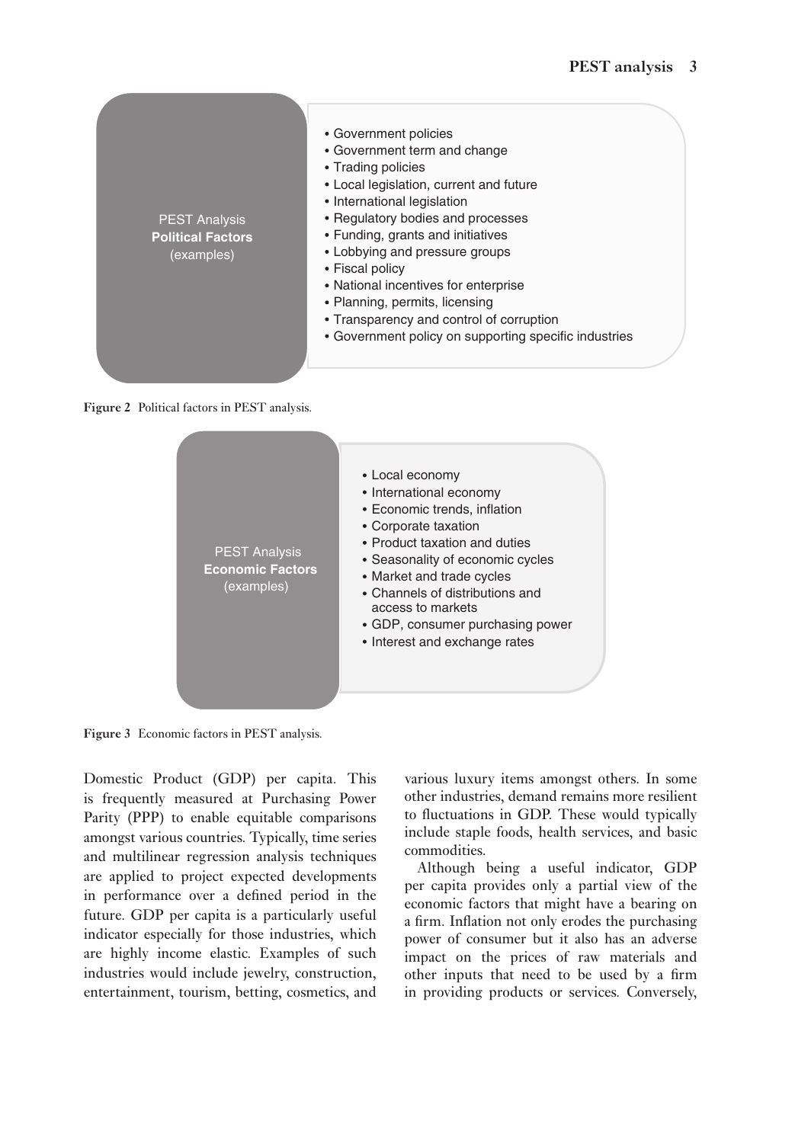

**Figure 2** Political factors in PEST analysis.

| <b>PEST Analysis</b><br><b>Economic Factors</b><br>(examples) | • Local economy<br>• International economy<br>• Economic trends, inflation<br>• Corporate taxation<br>• Product taxation and duties<br>• Seasonality of economic cycles<br>• Market and trade cycles<br>• Channels of distributions and<br>access to markets<br>• GDP, consumer purchasing power<br>• Interest and exchange rates |
|---------------------------------------------------------------|-----------------------------------------------------------------------------------------------------------------------------------------------------------------------------------------------------------------------------------------------------------------------------------------------------------------------------------|
|---------------------------------------------------------------|-----------------------------------------------------------------------------------------------------------------------------------------------------------------------------------------------------------------------------------------------------------------------------------------------------------------------------------|

**Figure 3** Economic factors in PEST analysis.

Domestic Product (GDP) per capita. This is frequently measured at Purchasing Power Parity (PPP) to enable equitable comparisons amongst various countries. Typically, time series and multilinear regression analysis techniques are applied to project expected developments in performance over a defined period in the future. GDP per capita is a particularly useful indicator especially for those industries, which are highly income elastic. Examples of such industries would include jewelry, construction, entertainment, tourism, betting, cosmetics, and various luxury items amongst others. In some other industries, demand remains more resilient to fluctuations in GDP. These would typically include staple foods, health services, and basic commodities.

Although being a useful indicator, GDP per capita provides only a partial view of the economic factors that might have a bearing on a firm. Inflation not only erodes the purchasing power of consumer but it also has an adverse impact on the prices of raw materials and other inputs that need to be used by a firm in providing products or services. Conversely,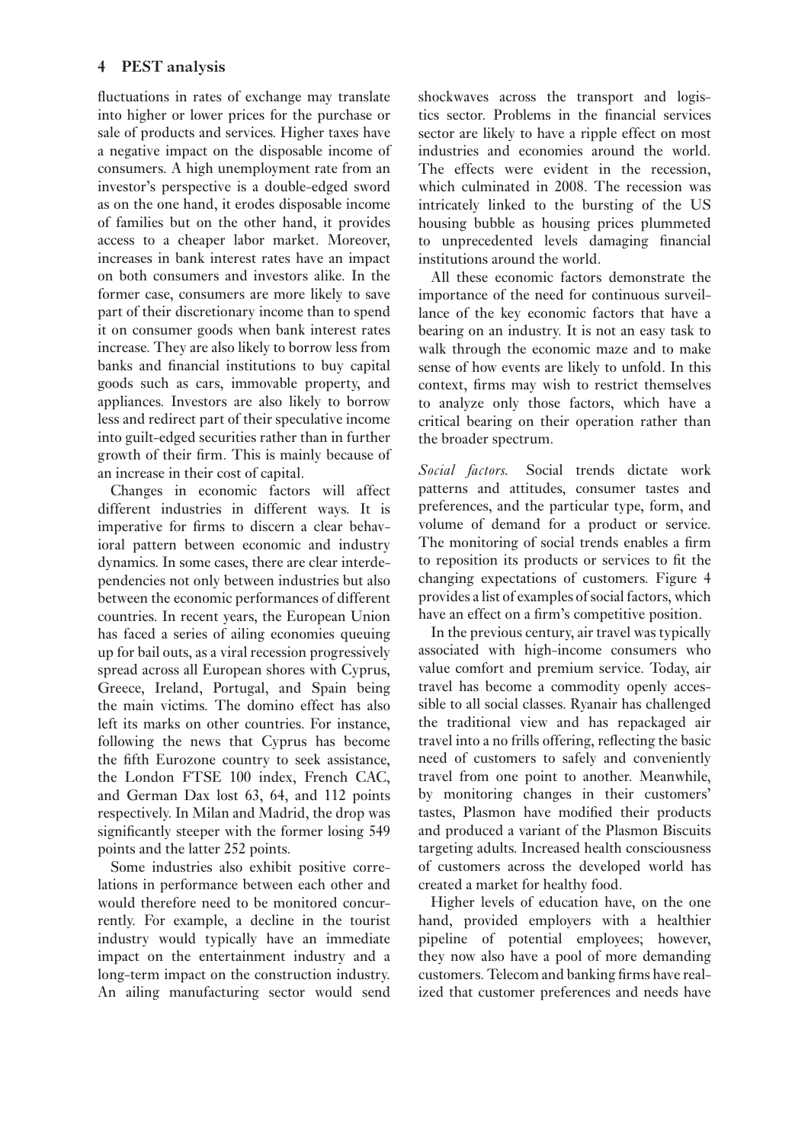fluctuations in rates of exchange may translate into higher or lower prices for the purchase or sale of products and services. Higher taxes have a negative impact on the disposable income of consumers. A high unemployment rate from an investor's perspective is a double-edged sword as on the one hand, it erodes disposable income of families but on the other hand, it provides access to a cheaper labor market. Moreover, increases in bank interest rates have an impact on both consumers and investors alike. In the former case, consumers are more likely to save part of their discretionary income than to spend it on consumer goods when bank interest rates increase. They are also likely to borrow less from banks and financial institutions to buy capital goods such as cars, immovable property, and appliances. Investors are also likely to borrow less and redirect part of their speculative income into guilt-edged securities rather than in further growth of their firm. This is mainly because of an increase in their cost of capital.

Changes in economic factors will affect different industries in different ways. It is imperative for firms to discern a clear behavioral pattern between economic and industry dynamics. In some cases, there are clear interdependencies not only between industries but also between the economic performances of different countries. In recent years, the European Union has faced a series of ailing economies queuing up for bail outs, as a viral recession progressively spread across all European shores with Cyprus, Greece, Ireland, Portugal, and Spain being the main victims. The domino effect has also left its marks on other countries. For instance, following the news that Cyprus has become the fifth Eurozone country to seek assistance, the London FTSE 100 index, French CAC, and German Dax lost 63, 64, and 112 points respectively. In Milan and Madrid, the drop was significantly steeper with the former losing 549 points and the latter 252 points.

Some industries also exhibit positive correlations in performance between each other and would therefore need to be monitored concurrently. For example, a decline in the tourist industry would typically have an immediate impact on the entertainment industry and a long-term impact on the construction industry. An ailing manufacturing sector would send shockwaves across the transport and logistics sector. Problems in the financial services sector are likely to have a ripple effect on most industries and economies around the world. The effects were evident in the recession, which culminated in 2008. The recession was intricately linked to the bursting of the US housing bubble as housing prices plummeted to unprecedented levels damaging financial institutions around the world.

All these economic factors demonstrate the importance of the need for continuous surveillance of the key economic factors that have a bearing on an industry. It is not an easy task to walk through the economic maze and to make sense of how events are likely to unfold. In this context, firms may wish to restrict themselves to analyze only those factors, which have a critical bearing on their operation rather than the broader spectrum.

*Social factors.* Social trends dictate work patterns and attitudes, consumer tastes and preferences, and the particular type, form, and volume of demand for a product or service. The monitoring of social trends enables a firm to reposition its products or services to fit the changing expectations of customers. Figure 4 provides a list of examples of social factors, which have an effect on a firm's competitive position.

In the previous century, air travel was typically associated with high-income consumers who value comfort and premium service. Today, air travel has become a commodity openly accessible to all social classes. Ryanair has challenged the traditional view and has repackaged air travel into a no frills offering, reflecting the basic need of customers to safely and conveniently travel from one point to another. Meanwhile, by monitoring changes in their customers' tastes, Plasmon have modified their products and produced a variant of the Plasmon Biscuits targeting adults. Increased health consciousness of customers across the developed world has created a market for healthy food.

Higher levels of education have, on the one hand, provided employers with a healthier pipeline of potential employees; however, they now also have a pool of more demanding customers. Telecom and banking firms have realized that customer preferences and needs have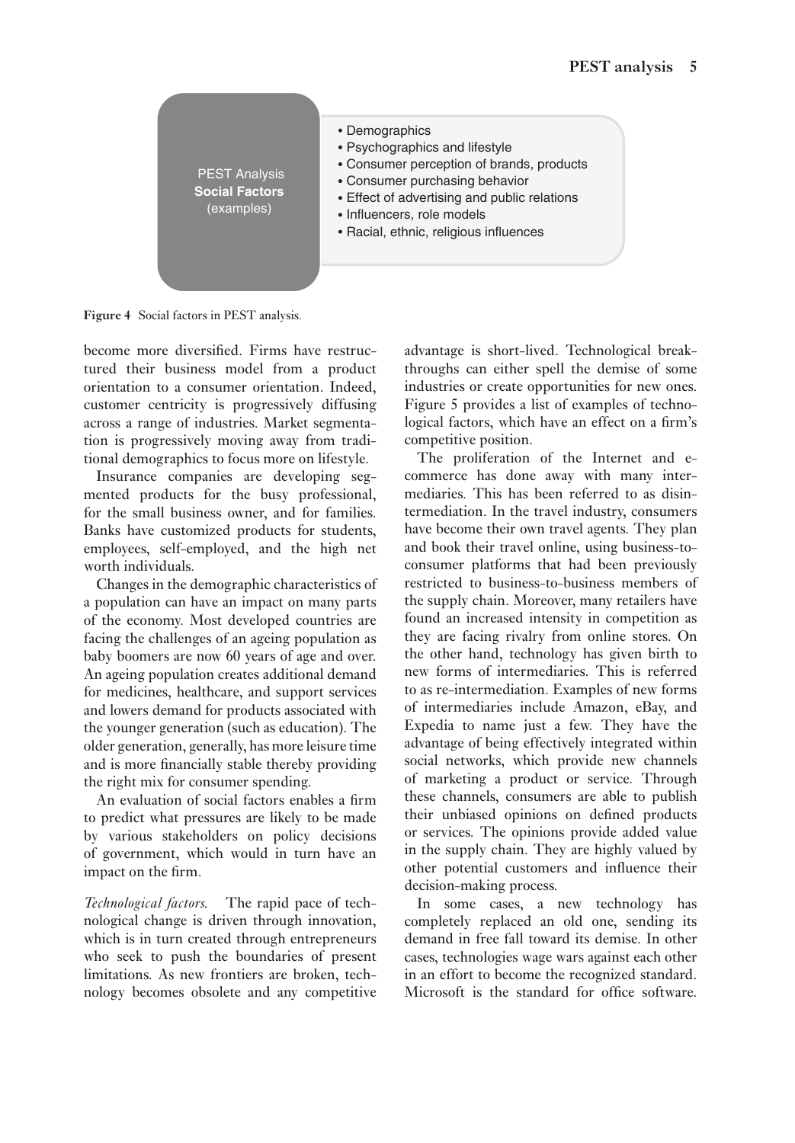Demographics Psychographics and lifestyle Consumer perception of brands, products PEST Analysis Consumer purchasing behavior **Social Factors** Effect of advertising and public relations (examples) • Influencers, role models • Racial, ethnic, religious influences

**Figure 4** Social factors in PEST analysis.

become more diversified. Firms have restructured their business model from a product orientation to a consumer orientation. Indeed, customer centricity is progressively diffusing across a range of industries. Market segmentation is progressively moving away from traditional demographics to focus more on lifestyle.

Insurance companies are developing segmented products for the busy professional, for the small business owner, and for families. Banks have customized products for students, employees, self-employed, and the high net worth individuals.

Changes in the demographic characteristics of a population can have an impact on many parts of the economy. Most developed countries are facing the challenges of an ageing population as baby boomers are now 60 years of age and over. An ageing population creates additional demand for medicines, healthcare, and support services and lowers demand for products associated with the younger generation (such as education). The older generation, generally, has more leisure time and is more financially stable thereby providing the right mix for consumer spending.

An evaluation of social factors enables a firm to predict what pressures are likely to be made by various stakeholders on policy decisions of government, which would in turn have an impact on the firm.

*Technological factors.* The rapid pace of technological change is driven through innovation, which is in turn created through entrepreneurs who seek to push the boundaries of present limitations. As new frontiers are broken, technology becomes obsolete and any competitive advantage is short-lived. Technological breakthroughs can either spell the demise of some industries or create opportunities for new ones. Figure 5 provides a list of examples of technological factors, which have an effect on a firm's competitive position.

The proliferation of the Internet and ecommerce has done away with many intermediaries. This has been referred to as disintermediation. In the travel industry, consumers have become their own travel agents. They plan and book their travel online, using business-toconsumer platforms that had been previously restricted to business-to-business members of the supply chain. Moreover, many retailers have found an increased intensity in competition as they are facing rivalry from online stores. On the other hand, technology has given birth to new forms of intermediaries. This is referred to as re-intermediation. Examples of new forms of intermediaries include Amazon, eBay, and Expedia to name just a few. They have the advantage of being effectively integrated within social networks, which provide new channels of marketing a product or service. Through these channels, consumers are able to publish their unbiased opinions on defined products or services. The opinions provide added value in the supply chain. They are highly valued by other potential customers and influence their decision-making process.

In some cases, a new technology has completely replaced an old one, sending its demand in free fall toward its demise. In other cases, technologies wage wars against each other in an effort to become the recognized standard. Microsoft is the standard for office software.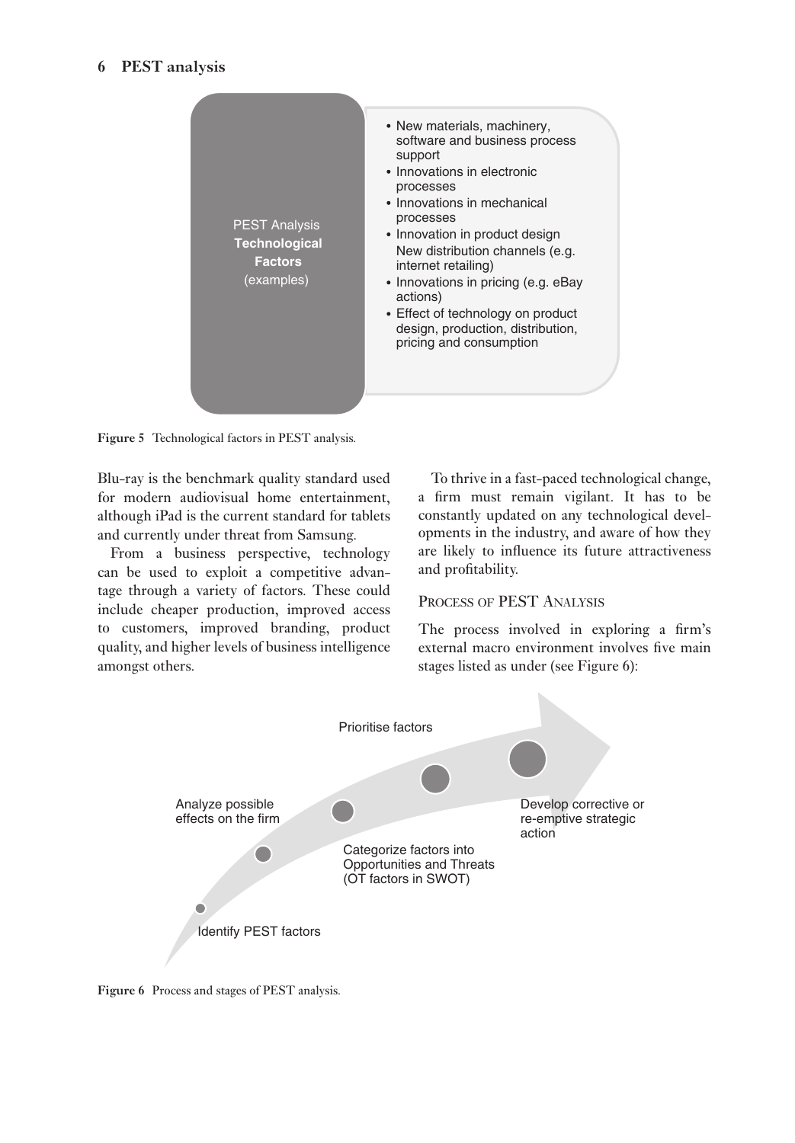# **6 PEST analysis**



**Figure 5** Technological factors in PEST analysis.

Blu-ray is the benchmark quality standard used for modern audiovisual home entertainment, although iPad is the current standard for tablets and currently under threat from Samsung.

From a business perspective, technology can be used to exploit a competitive advantage through a variety of factors. These could include cheaper production, improved access to customers, improved branding, product quality, and higher levels of business intelligence amongst others.

To thrive in a fast-paced technological change, a firm must remain vigilant. It has to be constantly updated on any technological developments in the industry, and aware of how they are likely to influence its future attractiveness and profitability.

### PROCESS OF PEST ANALYSIS

The process involved in exploring a firm's external macro environment involves five main stages listed as under (see Figure 6):



**Figure 6** Process and stages of PEST analysis.